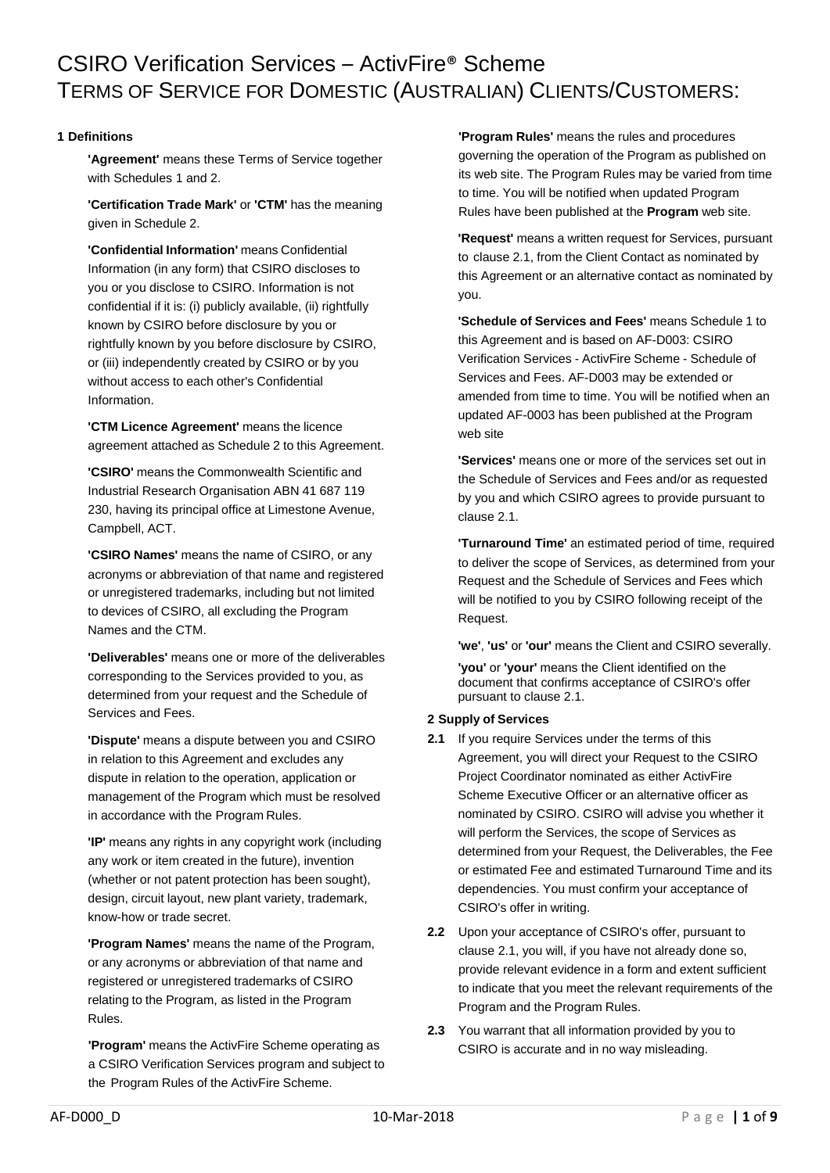# CSIRO Verification Services – ActivFire® Scheme TERMS OF SERVICE FOR DOMESTIC (AUSTRALIAN) CLIENTS/CUSTOMERS:

# **1 Definitions**

**'Agreement'** means these Terms of Service together with Schedules 1 and 2.

**'Certification Trade Mark'** or **'CTM'** has the meaning given in Schedule 2.

**'Confidential Information'** means Confidential Information (in any form) that CSIRO discloses to you or you disclose to CSIRO. Information is not confidential if it is: (i) publicly available, (ii) rightfully known by CSIRO before disclosure by you or rightfully known by you before disclosure by CSIRO, or (iii) independently created by CSIRO or by you without access to each other's Confidential Information.

**'CTM Licence Agreement'** means the licence agreement attached as Schedule 2 to this Agreement.

**'CSIRO'** means the Commonwealth Scientific and Industrial Research Organisation ABN 41 687 119 230, having its principal office at Limestone Avenue, Campbell, ACT.

**'CSIRO Names'** means the name of CSIRO, or any acronyms or abbreviation of that name and registered or unregistered trademarks, including but not limited to devices of CSIRO, all excluding the Program Names and the CTM.

**'Deliverables'** means one or more of the deliverables corresponding to the Services provided to you, as determined from your request and the Schedule of Services and Fees.

**'Dispute'** means a dispute between you and CSIRO in relation to this Agreement and excludes any dispute in relation to the operation, application or management of the Program which must be resolved in accordance with the Program Rules.

**'IP'** means any rights in any copyright work (including any work or item created in the future), invention (whether or not patent protection has been sought), design, circuit layout, new plant variety, trademark, know-how or trade secret.

**'Program Names'** means the name of the Program, or any acronyms or abbreviation of that name and registered or unregistered trademarks of CSIRO relating to the Program, as listed in the Program Rules.

**'Program'** means the ActivFire Scheme operating as a CSIRO Verification Services program and subject to the Program Rules of the ActivFire Scheme.

**'Program Rules'** means the rules and procedures governing the operation of the Program as published on its web site. The Program Rules may be varied from time to time. You will be notified when updated Program Rules have been published at the **Program** web site.

**'Request'** means a written request for Services, pursuant to clause 2.1, from the Client Contact as nominated by this Agreement or an alternative contact as nominated by you.

**'Schedule of Services and Fees'** means Schedule 1 to this Agreement and is based on AF-D003: CSIRO Verification Services - ActivFire Scheme - Schedule of Services and Fees. AF-D003 may be extended or amended from time to time. You will be notified when an updated AF-0003 has been published at the Program web site

**'Services'** means one or more of the services set out in the Schedule of Services and Fees and/or as requested by you and which CSIRO agrees to provide pursuant to clause 2.1.

**'Turnaround Time'** an estimated period of time, required to deliver the scope of Services, as determined from your Request and the Schedule of Services and Fees which will be notified to you by CSIRO following receipt of the Request.

**'we'**, **'us'** or **'our'** means the Client and CSIRO severally.

**'you'** or **'your'** means the Client identified on the document that confirms acceptance of CSIRO's offer pursuant to clause 2.1.

# **2 Supply of Services**

- **2.1** If you require Services under the terms of this Agreement, you will direct your Request to the CSIRO Project Coordinator nominated as either ActivFire Scheme Executive Officer or an alternative officer as nominated by CSIRO. CSIRO will advise you whether it will perform the Services, the scope of Services as determined from your Request, the Deliverables, the Fee or estimated Fee and estimated Turnaround Time and its dependencies. You must confirm your acceptance of CSIRO's offer in writing.
- **2.2** Upon your acceptance of CSIRO's offer, pursuant to clause 2.1, you will, if you have not already done so, provide relevant evidence in a form and extent sufficient to indicate that you meet the relevant requirements of the Program and the Program Rules.
- **2.3** You warrant that all information provided by you to CSIRO is accurate and in no way misleading.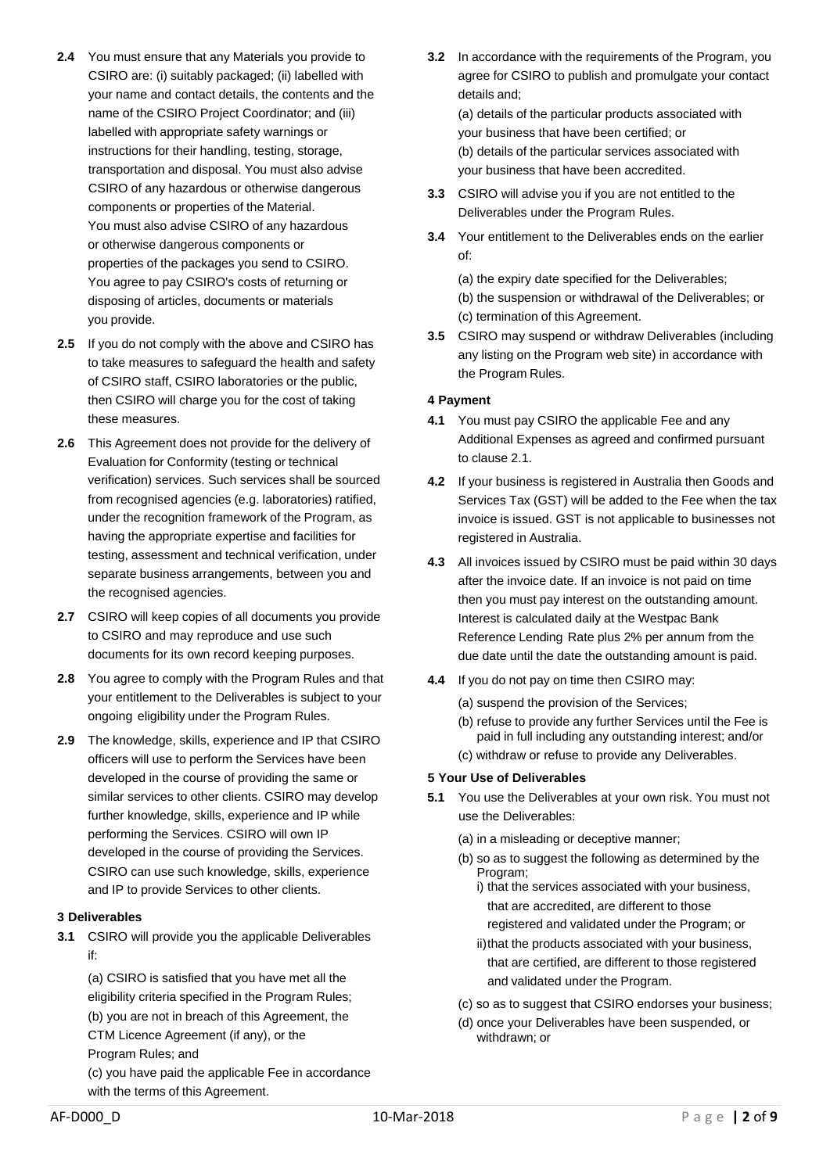- **2.4** You must ensure that any Materials you provide to CSIRO are: (i) suitably packaged; (ii) labelled with your name and contact details, the contents and the name of the CSIRO Project Coordinator; and (iii) labelled with appropriate safety warnings or instructions for their handling, testing, storage, transportation and disposal. You must also advise CSIRO of any hazardous or otherwise dangerous components or properties of the Material. You must also advise CSIRO of any hazardous or otherwise dangerous components or properties of the packages you send to CSIRO. You agree to pay CSIRO's costs of returning or disposing of articles, documents or materials you provide.
- **2.5** If you do not comply with the above and CSIRO has to take measures to safeguard the health and safety of CSIRO staff, CSIRO laboratories or the public, then CSIRO will charge you for the cost of taking these measures.
- **2.6** This Agreement does not provide for the delivery of Evaluation for Conformity (testing or technical verification) services. Such services shall be sourced from recognised agencies (e.g. laboratories) ratified, under the recognition framework of the Program, as having the appropriate expertise and facilities for testing, assessment and technical verification, under separate business arrangements, between you and the recognised agencies.
- **2.7** CSIRO will keep copies of all documents you provide to CSIRO and may reproduce and use such documents for its own record keeping purposes.
- **2.8** You agree to comply with the Program Rules and that your entitlement to the Deliverables is subject to your ongoing eligibility under the Program Rules.
- **2.9** The knowledge, skills, experience and IP that CSIRO officers will use to perform the Services have been developed in the course of providing the same or similar services to other clients. CSIRO may develop further knowledge, skills, experience and IP while performing the Services. CSIRO will own IP developed in the course of providing the Services. CSIRO can use such knowledge, skills, experience and IP to provide Services to other clients.

## **3 Deliverables**

**3.1** CSIRO will provide you the applicable Deliverables if:

(a) CSIRO is satisfied that you have met all the eligibility criteria specified in the Program Rules; (b) you are not in breach of this Agreement, the CTM Licence Agreement (if any), or the Program Rules; and (c) you have paid the applicable Fee in accordance with the terms of this Agreement.

**3.2** In accordance with the requirements of the Program, you agree for CSIRO to publish and promulgate your contact details and;

(a) details of the particular products associated with your business that have been certified; or (b) details of the particular services associated with your business that have been accredited.

- **3.3** CSIRO will advise you if you are not entitled to the Deliverables under the Program Rules.
- **3.4** Your entitlement to the Deliverables ends on the earlier of:

(a) the expiry date specified for the Deliverables; (b) the suspension or withdrawal of the Deliverables; or (c) termination of this Agreement.

**3.5** CSIRO may suspend or withdraw Deliverables (including any listing on the Program web site) in accordance with the Program Rules.

# **4 Payment**

- **4.1** You must pay CSIRO the applicable Fee and any Additional Expenses as agreed and confirmed pursuant to clause 2.1.
- **4.2** If your business is registered in Australia then Goods and Services Tax (GST) will be added to the Fee when the tax invoice is issued. GST is not applicable to businesses not registered in Australia.
- **4.3** All invoices issued by CSIRO must be paid within 30 days after the invoice date. If an invoice is not paid on time then you must pay interest on the outstanding amount. Interest is calculated daily at the Westpac Bank Reference Lending Rate plus 2% per annum from the due date until the date the outstanding amount is paid.
- **4.4** If you do not pay on time then CSIRO may:
	- (a) suspend the provision of the Services;
	- (b) refuse to provide any further Services until the Fee is paid in full including any outstanding interest; and/or
	- (c) withdraw or refuse to provide any Deliverables.

## **5 Your Use of Deliverables**

- **5.1** You use the Deliverables at your own risk. You must not use the Deliverables:
	- (a) in a misleading or deceptive manner;
	- (b) so as to suggest the following as determined by the Program;
		- i) that the services associated with your business, that are accredited, are different to those registered and validated under the Program; or
		- ii)that the products associated with your business. that are certified, are different to those registered and validated under the Program.
	- (c) so as to suggest that CSIRO endorses your business;
	- (d) once your Deliverables have been suspended, or withdrawn; or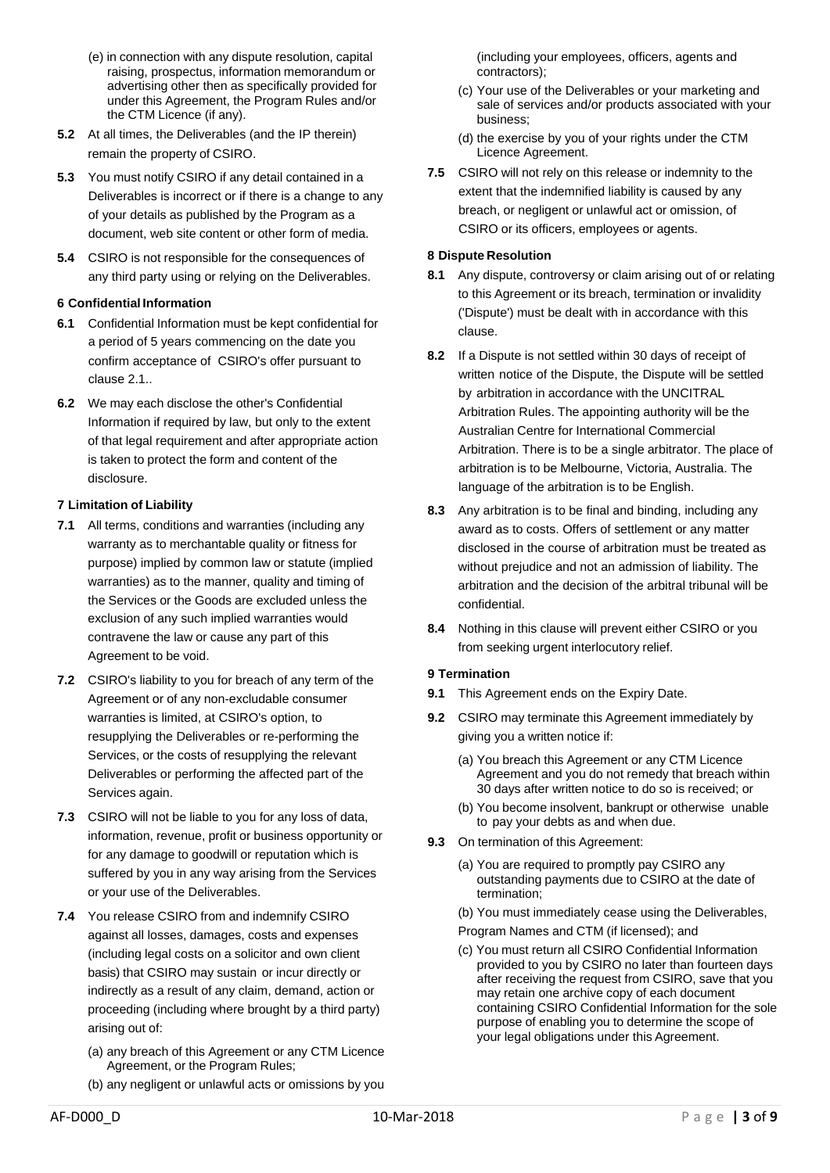- (e) in connection with any dispute resolution, capital raising, prospectus, information memorandum or advertising other then as specifically provided for under this Agreement, the Program Rules and/or the CTM Licence (if any).
- **5.2** At all times, the Deliverables (and the IP therein) remain the property of CSIRO.
- **5.3** You must notify CSIRO if any detail contained in a Deliverables is incorrect or if there is a change to any of your details as published by the Program as a document, web site content or other form of media.
- **5.4** CSIRO is not responsible for the consequences of any third party using or relying on the Deliverables.

# **6 Confidential Information**

- **6.1** Confidential Information must be kept confidential for a period of 5 years commencing on the date you confirm acceptance of CSIRO's offer pursuant to clause 2.1..
- **6.2** We may each disclose the other's Confidential Information if required by law, but only to the extent of that legal requirement and after appropriate action is taken to protect the form and content of the disclosure.

## **7 Limitation of Liability**

- **7.1** All terms, conditions and warranties (including any warranty as to merchantable quality or fitness for purpose) implied by common law or statute (implied warranties) as to the manner, quality and timing of the Services or the Goods are excluded unless the exclusion of any such implied warranties would contravene the law or cause any part of this Agreement to be void.
- **7.2** CSIRO's liability to you for breach of any term of the Agreement or of any non-excludable consumer warranties is limited, at CSIRO's option, to resupplying the Deliverables or re-performing the Services, or the costs of resupplying the relevant Deliverables or performing the affected part of the Services again.
- **7.3** CSIRO will not be liable to you for any loss of data, information, revenue, profit or business opportunity or for any damage to goodwill or reputation which is suffered by you in any way arising from the Services or your use of the Deliverables.
- **7.4** You release CSIRO from and indemnify CSIRO against all losses, damages, costs and expenses (including legal costs on a solicitor and own client basis) that CSIRO may sustain or incur directly or indirectly as a result of any claim, demand, action or proceeding (including where brought by a third party) arising out of:
	- (a) any breach of this Agreement or any CTM Licence Agreement, or the Program Rules;
	- (b) any negligent or unlawful acts or omissions by you

(including your employees, officers, agents and contractors);

- (c) Your use of the Deliverables or your marketing and sale of services and/or products associated with your business;
- (d) the exercise by you of your rights under the CTM Licence Agreement.
- **7.5** CSIRO will not rely on this release or indemnity to the extent that the indemnified liability is caused by any breach, or negligent or unlawful act or omission, of CSIRO or its officers, employees or agents.

## **8 Dispute Resolution**

- **8.1** Any dispute, controversy or claim arising out of or relating to this Agreement or its breach, termination or invalidity ('Dispute') must be dealt with in accordance with this clause.
- **8.2** If a Dispute is not settled within 30 days of receipt of written notice of the Dispute, the Dispute will be settled by arbitration in accordance with the UNCITRAL Arbitration Rules. The appointing authority will be the Australian Centre for International Commercial Arbitration. There is to be a single arbitrator. The place of arbitration is to be Melbourne, Victoria, Australia. The language of the arbitration is to be English.
- **8.3** Any arbitration is to be final and binding, including any award as to costs. Offers of settlement or any matter disclosed in the course of arbitration must be treated as without prejudice and not an admission of liability. The arbitration and the decision of the arbitral tribunal will be confidential.
- **8.4** Nothing in this clause will prevent either CSIRO or you from seeking urgent interlocutory relief.

## **9 Termination**

- **9.1** This Agreement ends on the Expiry Date.
- **9.2** CSIRO may terminate this Agreement immediately by giving you a written notice if:
	- (a) You breach this Agreement or any CTM Licence Agreement and you do not remedy that breach within 30 days after written notice to do so is received; or
	- (b) You become insolvent, bankrupt or otherwise unable to pay your debts as and when due.
- **9.3** On termination of this Agreement:
	- (a) You are required to promptly pay CSIRO any outstanding payments due to CSIRO at the date of termination;
	- (b) You must immediately cease using the Deliverables,
	- Program Names and CTM (if licensed); and
	- (c) You must return all CSIRO Confidential Information provided to you by CSIRO no later than fourteen days after receiving the request from CSIRO, save that you may retain one archive copy of each document containing CSIRO Confidential Information for the sole purpose of enabling you to determine the scope of your legal obligations under this Agreement.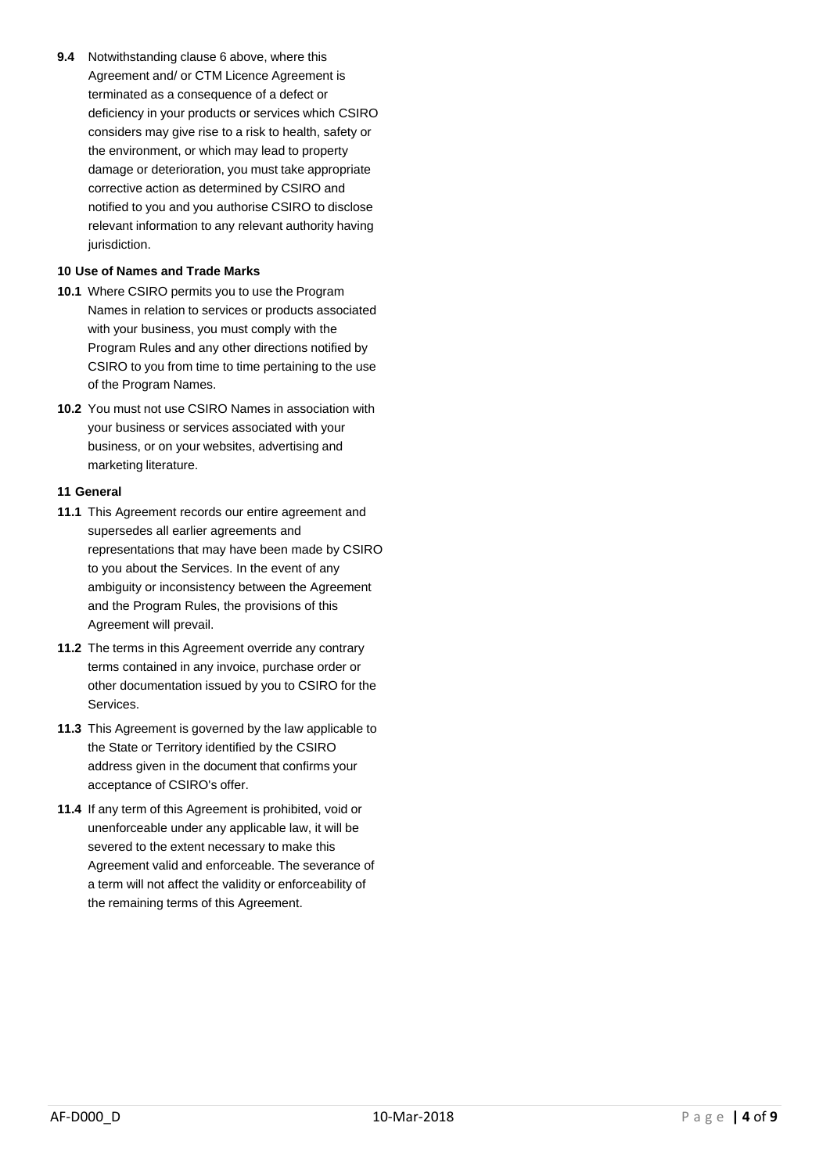**9.4** Notwithstanding clause 6 above, where this Agreement and/ or CTM Licence Agreement is terminated as a consequence of a defect or deficiency in your products or services which CSIRO considers may give rise to a risk to health, safety or the environment, or which may lead to property damage or deterioration, you must take appropriate corrective action as determined by CSIRO and notified to you and you authorise CSIRO to disclose relevant information to any relevant authority having jurisdiction.

## **10 Use of Names and Trade Marks**

- **10.1** Where CSIRO permits you to use the Program Names in relation to services or products associated with your business, you must comply with the Program Rules and any other directions notified by CSIRO to you from time to time pertaining to the use of the Program Names.
- **10.2** You must not use CSIRO Names in association with your business or services associated with your business, or on your websites, advertising and marketing literature.

## **11 General**

- **11.1** This Agreement records our entire agreement and supersedes all earlier agreements and representations that may have been made by CSIRO to you about the Services. In the event of any ambiguity or inconsistency between the Agreement and the Program Rules, the provisions of this Agreement will prevail.
- **11.2** The terms in this Agreement override any contrary terms contained in any invoice, purchase order or other documentation issued by you to CSIRO for the Services.
- **11.3** This Agreement is governed by the law applicable to the State or Territory identified by the CSIRO address given in the document that confirms your acceptance of CSIRO's offer.
- **11.4** If any term of this Agreement is prohibited, void or unenforceable under any applicable law, it will be severed to the extent necessary to make this Agreement valid and enforceable. The severance of a term will not affect the validity or enforceability of the remaining terms of this Agreement.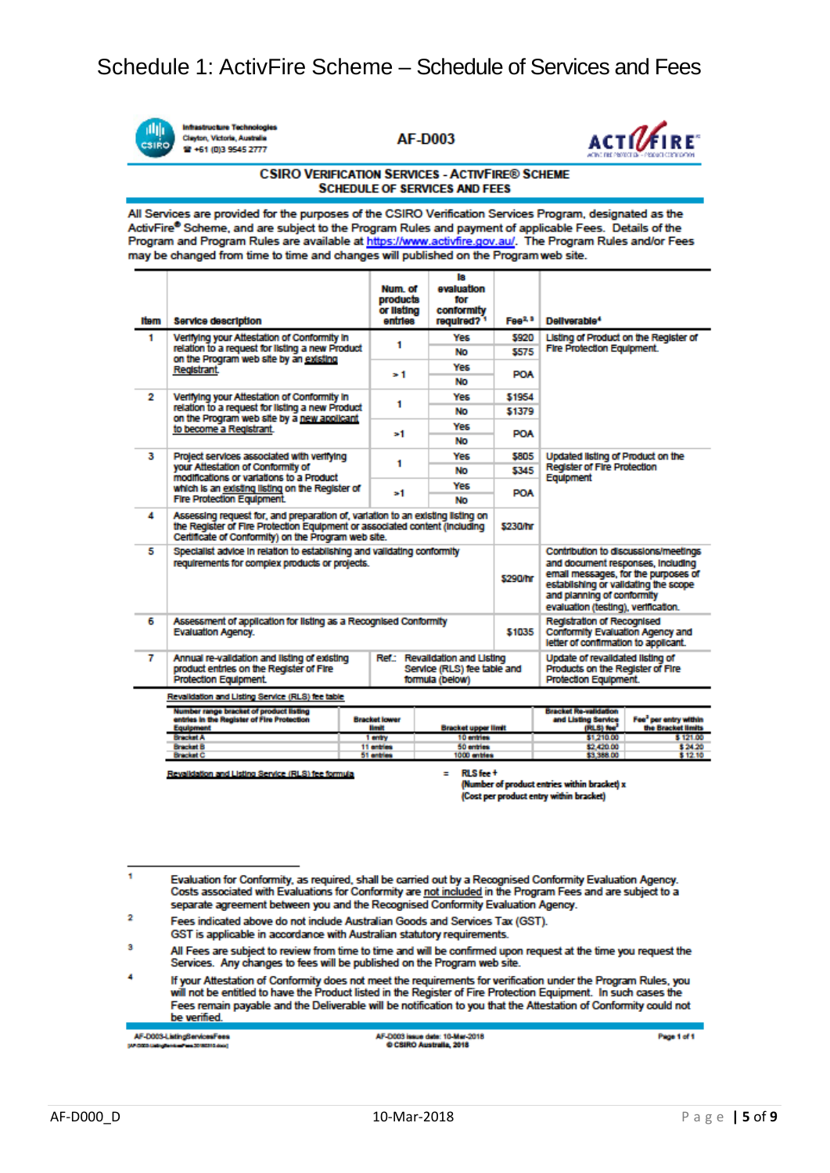

**Infrastructure Technologies** Clayton, Victoria, Austra <sup>2</sup> +61 (0)3 9545 2777

**AF-D003** 



#### **CSIRO VERIFICATION SERVICES - ACTIVEIRE® SCHEME SCHEDULE OF SERVICES AND FEES**

All Services are provided for the purposes of the CSIRO Verification Services Program, designated as the ActivFire® Scheme, and are subject to the Program Rules and payment of applicable Fees. Details of the Program and Program Rules are available at https://www.activfire.gov.au/. The Program Rules and/or Fees may be changed from time to time and changes will published on the Program web site.

| Item                                             | <b>Service description</b>                                                                                                                                                                                          | Num, of<br>products<br>or Ilsting<br>entries | ls.<br>evaluation<br>for<br>conformity<br>required? <sup>1</sup> | Fee <sup>2, 3</sup> | Deliverable <sup>4</sup>                                                                                                                                                                                                     |                                             |
|--------------------------------------------------|---------------------------------------------------------------------------------------------------------------------------------------------------------------------------------------------------------------------|----------------------------------------------|------------------------------------------------------------------|---------------------|------------------------------------------------------------------------------------------------------------------------------------------------------------------------------------------------------------------------------|---------------------------------------------|
| 1                                                | Verifying your Attestation of Conformity in<br>relation to a request for listing a new Product<br>on the Program web site by an existing<br>Registrant.                                                             | 1                                            | Yes                                                              | 5920                | Listing of Product on the Register of<br><b>Fire Protection Equipment.</b>                                                                                                                                                   |                                             |
|                                                  |                                                                                                                                                                                                                     |                                              | No                                                               | \$575               |                                                                                                                                                                                                                              |                                             |
|                                                  |                                                                                                                                                                                                                     | > 1                                          | Yes                                                              | POA                 |                                                                                                                                                                                                                              |                                             |
|                                                  |                                                                                                                                                                                                                     |                                              | No                                                               |                     |                                                                                                                                                                                                                              |                                             |
| 2                                                | Verifying your Attestation of Conformity in<br>relation to a request for listing a new Product<br>on the Program web site by a new apolicant<br>to become a Registrant.                                             | 1                                            | Yes                                                              | \$1954              |                                                                                                                                                                                                                              |                                             |
|                                                  |                                                                                                                                                                                                                     |                                              | No                                                               | \$1379              |                                                                                                                                                                                                                              |                                             |
|                                                  |                                                                                                                                                                                                                     | ъ1                                           | Yes                                                              | <b>POA</b>          |                                                                                                                                                                                                                              |                                             |
|                                                  |                                                                                                                                                                                                                     |                                              | No                                                               |                     |                                                                                                                                                                                                                              |                                             |
| з                                                | Project services associated with verifying<br>your Attestation of Conformity of<br>modifications or variations to a Product<br>which is an existing listing on the Register of                                      | 1                                            | <b>Yes</b>                                                       | \$805               | Updated listing of Product on the<br><b>Register of Fire Protection</b><br>Equipment                                                                                                                                         |                                             |
|                                                  |                                                                                                                                                                                                                     |                                              | No                                                               | \$345               |                                                                                                                                                                                                                              |                                             |
|                                                  |                                                                                                                                                                                                                     | >1                                           | Yes                                                              | <b>POA</b>          |                                                                                                                                                                                                                              |                                             |
|                                                  | <b>Fire Protection Equipment.</b>                                                                                                                                                                                   |                                              | No                                                               |                     |                                                                                                                                                                                                                              |                                             |
| 4                                                | Assessing request for, and preparation of, variation to an existing listing on<br>the Register of Fire Protection Equipment or associated content (including<br>Certificate of Conformity) on the Program web site. |                                              |                                                                  |                     |                                                                                                                                                                                                                              |                                             |
| 5                                                | Specialist advice in relation to establishing and validating conformity<br>requirements for complex products or projects.                                                                                           |                                              |                                                                  |                     | Contribution to discussions/meetings<br>and document responses, including<br>email messages, for the purposes of<br>establishing or validating the scope<br>and planning of conformity<br>evaluation (testing), vertication, |                                             |
| 6                                                | Assessment of application for listing as a Recognised Conformity<br>\$1035<br><b>Evaluation Agency.</b>                                                                                                             |                                              |                                                                  |                     | <b>Registration of Recognised</b><br>Conformity Evaluation Agency and<br>letter of contirmation to applicant.                                                                                                                |                                             |
| 7                                                | Annual re-validation and listing of existing<br>Ref.: Revalidation and Listing<br>product entries on the Register of Fire<br>Service (RLS) fee table and<br>Protection Equipment.<br>formula (below)                |                                              |                                                                  |                     | Update of revalidated listing of<br>Products on the Register of Fire<br><b>Protection Equipment.</b>                                                                                                                         |                                             |
| Revalidation and Listing Service (RLS) fee table |                                                                                                                                                                                                                     |                                              |                                                                  |                     |                                                                                                                                                                                                                              |                                             |
|                                                  | Number range bracket of product listing<br>entries in the Register of Fire Protection<br><b>Equipment</b>                                                                                                           | <b>Bracket lower</b><br><b>Hmit</b>          | <b>Bracket upper limit</b>                                       |                     | <b>Bracket Re-validation</b><br>and Listing Service<br>(RLS) fee <sup>*</sup>                                                                                                                                                | Fee" per entry within<br>the Bracket limits |

Revalidation and Listing Service (RLS) fee formula

RLS fee +

10 entries

50 entrie

 $\frac{300}{1000}$ 

 $\equiv$ 

(Number of product entries within bracket) x (Cost per product entry within bracket)

\$1,210.00

12,420.00<br>13.388.00

h Evaluation for Conformity, as required, shall be carried out by a Recognised Conformity Evaluation Agency.<br>Costs associated with Evaluations for Conformity are <u>not included</u> in the Program Fees and are subject to a separate agreement between you and the Recognised Conformity Evaluation Agency.

1 entry

GST is applicable in accordance with Australian statutory requirements.

3 All Fees are subject to review from time to time and will be confirmed upon request at the time you request the Services. Any changes to fees will be published on the Program web site.

AF-D003-ListingServicesFees

Page 1 of 1

\$121.00

\$24.20<br>\$12.10

 $\overline{2}$ Fees indicated above do not include Australian Goods and Services Tax (GST).

If your Attestation of Conformity does not meet the requirements for verification under the Program Rules, you will not be entitled to have the Product listed in the Register of Fire Protection Equipment. In such cases the Fees remain payable and the Deliverable will be notification to you that the Attestation of Conformity could not be verified.

AF-D003 issue date: 10-Mar-2018<br>© CSIRO Australia, 2018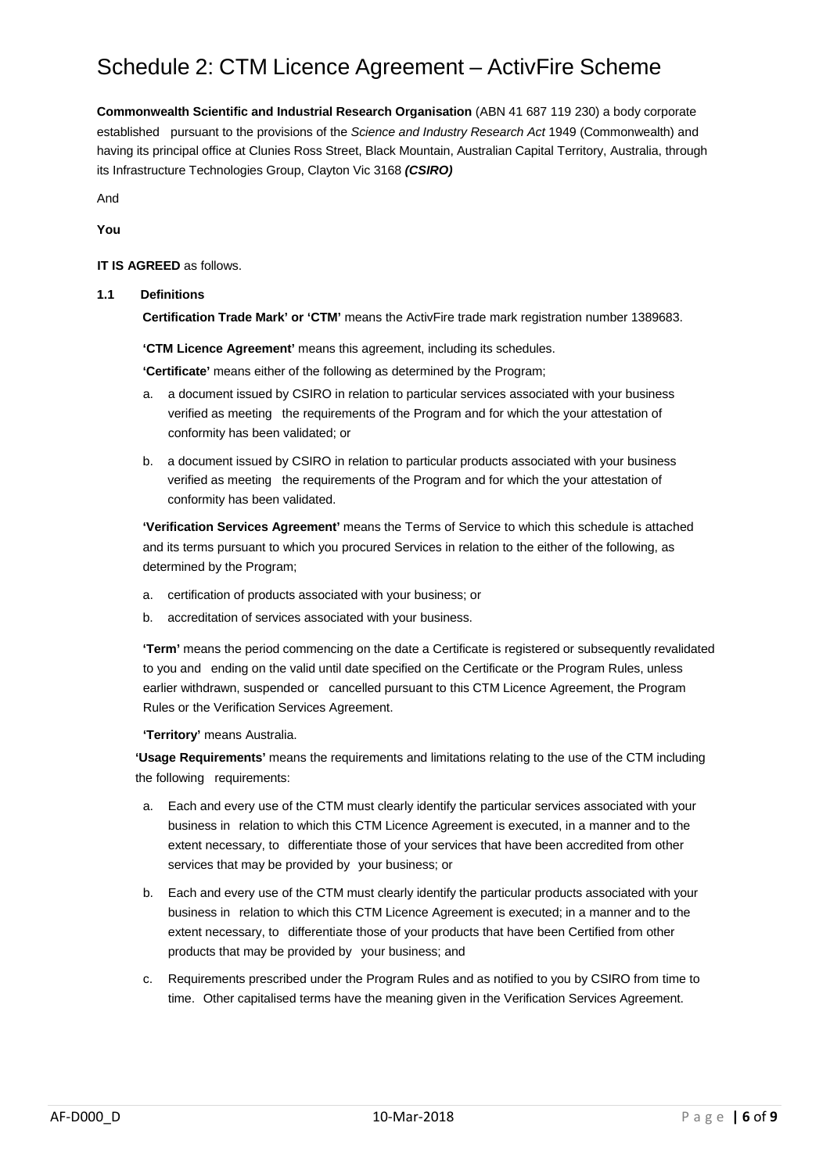# Schedule 2: CTM Licence Agreement – ActivFire Scheme

**Commonwealth Scientific and Industrial Research Organisation** (ABN 41 687 119 230) a body corporate established pursuant to the provisions of the *Science and Industry Research Act* 1949 (Commonwealth) and having its principal office at Clunies Ross Street, Black Mountain, Australian Capital Territory, Australia, through its Infrastructure Technologies Group, Clayton Vic 3168 *(CSIRO)*

And **You**

## **IT IS AGREED** as follows.

## **1.1 Definitions**

**Certification Trade Mark' or 'CTM'** means the ActivFire trade mark registration number 1389683.

**'CTM Licence Agreement'** means this agreement, including its schedules.

**'Certificate'** means either of the following as determined by the Program;

- a. a document issued by CSIRO in relation to particular services associated with your business verified as meeting the requirements of the Program and for which the your attestation of conformity has been validated; or
- b. a document issued by CSIRO in relation to particular products associated with your business verified as meeting the requirements of the Program and for which the your attestation of conformity has been validated.

**'Verification Services Agreement'** means the Terms of Service to which this schedule is attached and its terms pursuant to which you procured Services in relation to the either of the following, as determined by the Program;

- a. certification of products associated with your business; or
- b. accreditation of services associated with your business.

**'Term'** means the period commencing on the date a Certificate is registered or subsequently revalidated to you and ending on the valid until date specified on the Certificate or the Program Rules, unless earlier withdrawn, suspended or cancelled pursuant to this CTM Licence Agreement, the Program Rules or the Verification Services Agreement.

**'Territory'** means Australia.

**'Usage Requirements'** means the requirements and limitations relating to the use of the CTM including the following requirements:

- a. Each and every use of the CTM must clearly identify the particular services associated with your business in relation to which this CTM Licence Agreement is executed, in a manner and to the extent necessary, to differentiate those of your services that have been accredited from other services that may be provided by your business; or
- b. Each and every use of the CTM must clearly identify the particular products associated with your business in relation to which this CTM Licence Agreement is executed; in a manner and to the extent necessary, to differentiate those of your products that have been Certified from other products that may be provided by your business; and
- c. Requirements prescribed under the Program Rules and as notified to you by CSIRO from time to time. Other capitalised terms have the meaning given in the Verification Services Agreement.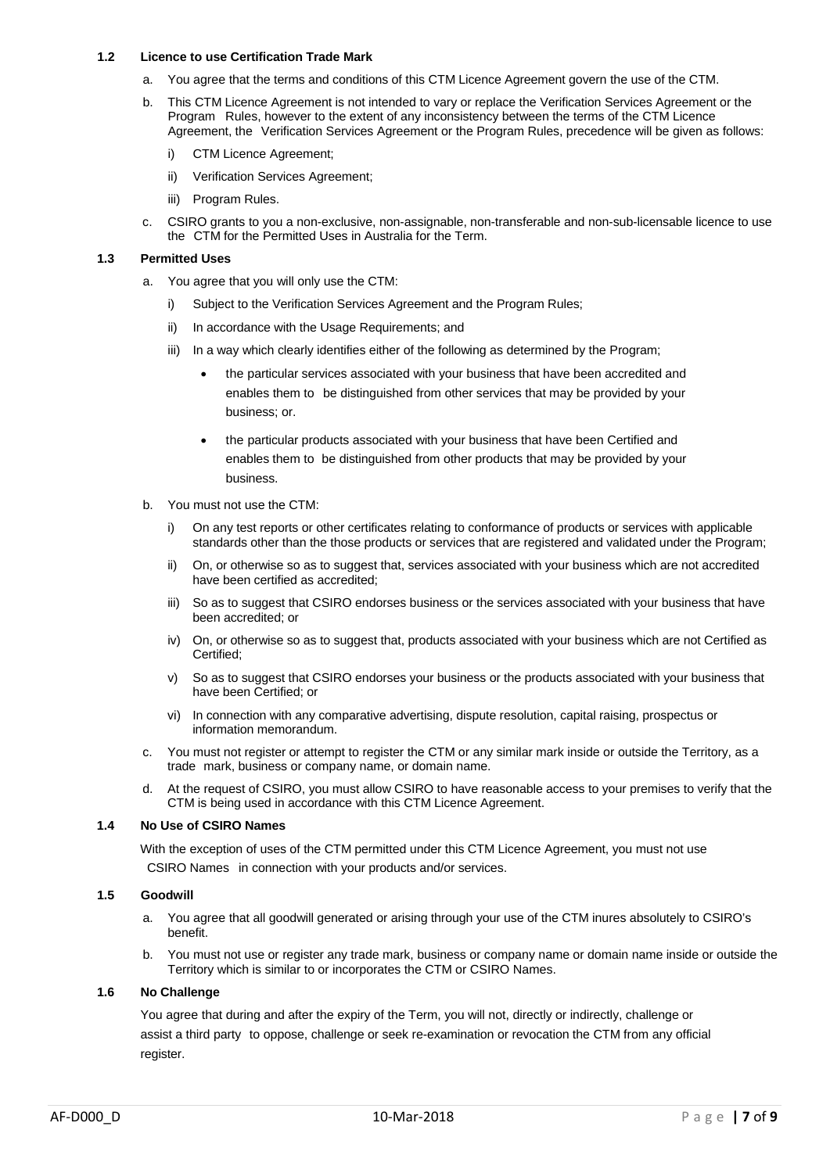#### **1.2 Licence to use Certification Trade Mark**

- a. You agree that the terms and conditions of this CTM Licence Agreement govern the use of the CTM.
- b. This CTM Licence Agreement is not intended to vary or replace the Verification Services Agreement or the Program Rules, however to the extent of any inconsistency between the terms of the CTM Licence Agreement, the Verification Services Agreement or the Program Rules, precedence will be given as follows:
	- i) CTM Licence Agreement;
	- ii) Verification Services Agreement;
	- iii) Program Rules.
- c. CSIRO grants to you a non-exclusive, non-assignable, non-transferable and non-sub-licensable licence to use the CTM for the Permitted Uses in Australia for the Term.

#### **1.3 Permitted Uses**

- a. You agree that you will only use the CTM:
	- i) Subject to the Verification Services Agreement and the Program Rules;
	- ii) In accordance with the Usage Requirements; and
	- iii) In a way which clearly identifies either of the following as determined by the Program;
		- the particular services associated with your business that have been accredited and enables them to be distinguished from other services that may be provided by your business; or.
		- the particular products associated with your business that have been Certified and enables them to be distinguished from other products that may be provided by your business.
- b. You must not use the CTM:
	- i) On any test reports or other certificates relating to conformance of products or services with applicable standards other than the those products or services that are registered and validated under the Program;
	- ii) On, or otherwise so as to suggest that, services associated with your business which are not accredited have been certified as accredited;
	- iii) So as to suggest that CSIRO endorses business or the services associated with your business that have been accredited; or
	- iv) On, or otherwise so as to suggest that, products associated with your business which are not Certified as Certified;
	- v) So as to suggest that CSIRO endorses your business or the products associated with your business that have been Certified; or
	- vi) In connection with any comparative advertising, dispute resolution, capital raising, prospectus or information memorandum.
- c. You must not register or attempt to register the CTM or any similar mark inside or outside the Territory, as a trade mark, business or company name, or domain name.
- At the request of CSIRO, you must allow CSIRO to have reasonable access to your premises to verify that the CTM is being used in accordance with this CTM Licence Agreement.

#### **1.4 No Use of CSIRO Names**

With the exception of uses of the CTM permitted under this CTM Licence Agreement, you must not use CSIRO Names in connection with your products and/or services.

## **1.5 Goodwill**

- a. You agree that all goodwill generated or arising through your use of the CTM inures absolutely to CSIRO's benefit.
- b. You must not use or register any trade mark, business or company name or domain name inside or outside the Territory which is similar to or incorporates the CTM or CSIRO Names.

#### **1.6 No Challenge**

You agree that during and after the expiry of the Term, you will not, directly or indirectly, challenge or assist a third party to oppose, challenge or seek re-examination or revocation the CTM from any official register.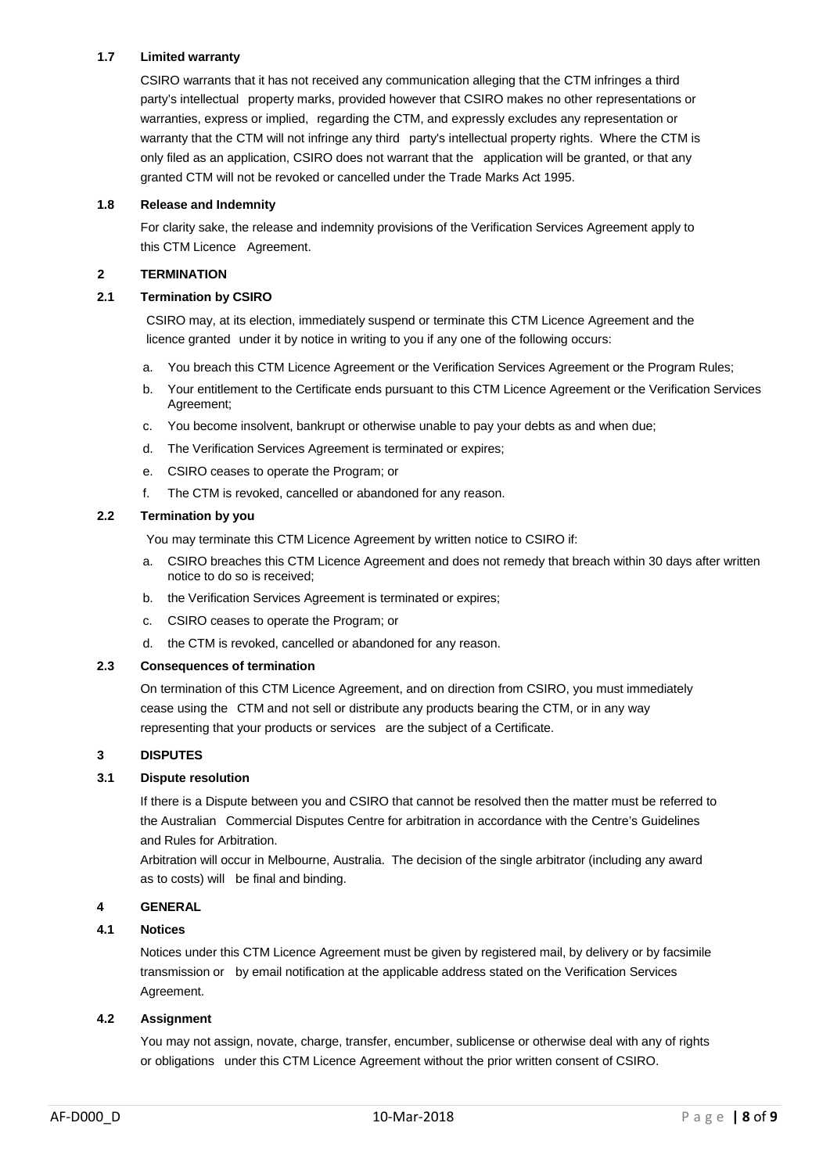# **1.7 Limited warranty**

CSIRO warrants that it has not received any communication alleging that the CTM infringes a third party's intellectual property marks, provided however that CSIRO makes no other representations or warranties, express or implied, regarding the CTM, and expressly excludes any representation or warranty that the CTM will not infringe any third party's intellectual property rights. Where the CTM is only filed as an application, CSIRO does not warrant that the application will be granted, or that any granted CTM will not be revoked or cancelled under the Trade Marks Act 1995.

## **1.8 Release and Indemnity**

For clarity sake, the release and indemnity provisions of the Verification Services Agreement apply to this CTM Licence Agreement.

#### **2 TERMINATION**

#### **2.1 Termination by CSIRO**

CSIRO may, at its election, immediately suspend or terminate this CTM Licence Agreement and the licence granted under it by notice in writing to you if any one of the following occurs:

- a. You breach this CTM Licence Agreement or the Verification Services Agreement or the Program Rules;
- b. Your entitlement to the Certificate ends pursuant to this CTM Licence Agreement or the Verification Services Agreement;
- c. You become insolvent, bankrupt or otherwise unable to pay your debts as and when due;
- d. The Verification Services Agreement is terminated or expires;
- e. CSIRO ceases to operate the Program; or
- f. The CTM is revoked, cancelled or abandoned for any reason.

#### **2.2 Termination by you**

You may terminate this CTM Licence Agreement by written notice to CSIRO if:

- a. CSIRO breaches this CTM Licence Agreement and does not remedy that breach within 30 days after written notice to do so is received;
- b. the Verification Services Agreement is terminated or expires;
- c. CSIRO ceases to operate the Program; or
- d. the CTM is revoked, cancelled or abandoned for any reason.

#### **2.3 Consequences of termination**

On termination of this CTM Licence Agreement, and on direction from CSIRO, you must immediately cease using the CTM and not sell or distribute any products bearing the CTM, or in any way representing that your products or services are the subject of a Certificate.

## **3 DISPUTES**

#### **3.1 Dispute resolution**

If there is a Dispute between you and CSIRO that cannot be resolved then the matter must be referred to the Australian Commercial Disputes Centre for arbitration in accordance with the Centre's Guidelines and Rules for Arbitration.

Arbitration will occur in Melbourne, Australia. The decision of the single arbitrator (including any award as to costs) will be final and binding.

## **4 GENERAL**

# **4.1 Notices**

Notices under this CTM Licence Agreement must be given by registered mail, by delivery or by facsimile transmission or by email notification at the applicable address stated on the Verification Services Agreement.

#### **4.2 Assignment**

You may not assign, novate, charge, transfer, encumber, sublicense or otherwise deal with any of rights or obligations under this CTM Licence Agreement without the prior written consent of CSIRO.